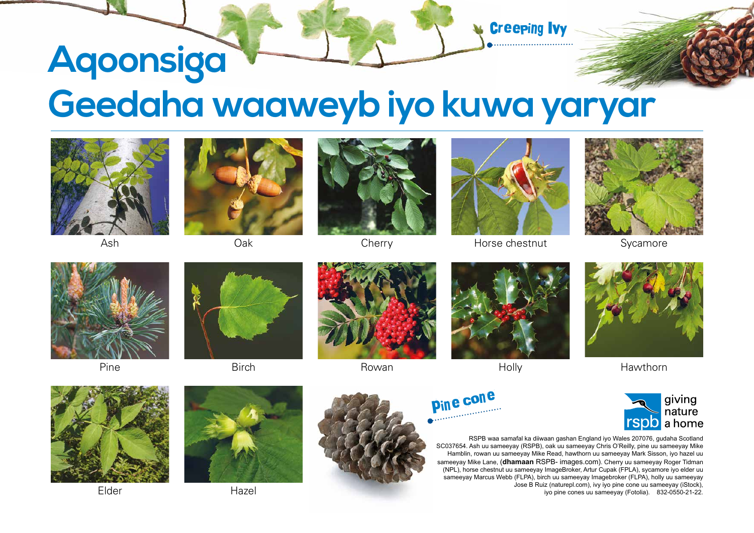## **Aqoonsiga Geedaha waaweyb iyo kuwa yaryar**



Ash





**Cherry** 



Creeping Ivy

Horse chestnut



Sycamore

Hawthorn



Pine



Birch



Rowan



Holly









RSPB waa samafal ka diiwaan gashan England iyo Wales 207076, gudaha Scotland SC037654. Ash uu sameeyay (RSPB), oak uu sameeyay Chris O'Reilly, pine uu sameeyay Mike Hamblin, rowan uu sameeyay Mike Read, hawthorn uu sameeyay Mark Sisson, iyo hazel uu sameeyay Mike Lane, (**dhamaan** RSPB- images.com). Cherry uu sameeyay Roger Tidman (NPL), horse chestnut uu sameeyay ImageBroker, Artur Cupak (FPLA), sycamore iyo elder uu sameeyay Marcus Webb (FLPA), birch uu sameeyay Imagebroker (FLPA), holly uu sameeyay Jose B Ruiz (naturepl.com), ivy iyo pine cone uu sameeyay (iStock), iyo pine cones uu sameeyay (Fotolia). 832-0550-21-22.





Elder Hazel